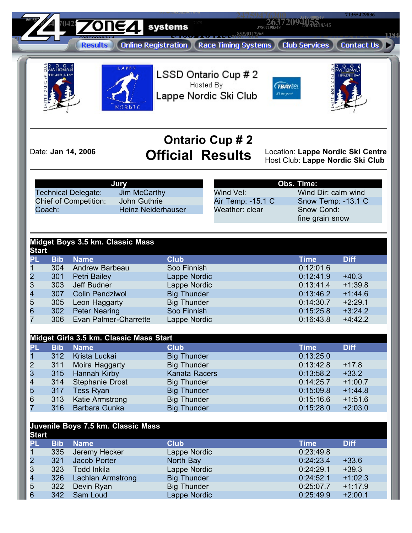**24759476200 71355429836 35190000849 5605526 26372094055 70428 1485218345**<br> **1485218345 1224** systems **37807198548 [3408](http://www.zone4.ca/reghome.asp)**<br>24007104100 **85390117965 1184**<br> **1184**<br> **1184**<br> **1184 <sup>51397726108</sup> <sup>51660430137</sup> [6176](https://www.zone4.ca/memberlogin.asp) 6176 6176 625** LSSD Ontario Cup # 2 Hosted By **TBAYLE** Lappe Nordic Ski Club rs for sos  $0.2N$ T **Ontario Cup # 2** Date: **Jan 14, 2006 Official Results** Location: **Lappe Nordic Ski Centre** Host Club: **Lappe Nordic Ski Club Obs. Time: Jury** Technical Delegate: Jim McCarthy Wind Vel: Wind Dir: calm wind Chief of Competition: John Guthrie Air Temp: -15.1 C Snow Temp: -13.1 C Coach: Heinz Neiderhauser Weather: clear **Snow Cond:** fine grain snow **Midget Boys 3.5 km. Classic Mass Start PL Bib Name Club Time Diff** 1 304 Andrew Barbeau Soo Finnish 0:12:01.6 2 301 Petri Bailey Lappe Nordic 0:12:41.9 +40.3<br>
3 303 Jeff Budner Lappe Nordic 0:13:41.4 +1:39.<br>
4 307 Colin Pendziwol Big Thunder 0:13:46.2 +1:44.<br>
5 305 Leon Haggarty Big Thunder 0:14:30.7 +2:29. 3 303 Jeff Budner Lappe Nordic 0:13:41.4 +1:39.8 1987 Colin Pendziwol **Big Thunder** Big Thunder 0:13:46.2 + 1:44.6<br>1995 Leon Haggarty **Big Thunder** 1997 0:14:30.7 + 2:29.1 5 305 Leon Haggarty Big Thunder 0:14:30.7 +2:29.1 6 302 Peter Nearing Soo Finnish 0:15:25.8 +3:24.2 7 306 Evan Palmer-Charrette Lappe Nordic 0:16:43.8 +4:42.2 **Midget Girls 3.5 km. Classic Mass Start PL Bib Name Club Time Diff** 1 312 Krista Luckai Big Thunder 613125.0<br>2 311 Moira Haggarty Big Thunder 6:13:42.8 2 311 Moira Haggarty Big Thunder 0:13:42.8 +17.8<br>
3 315 Hannah Kirby Kanata Racers 0:13:58.2 +33.2<br>
4 314 Stephanie Drost Big Thunder 0:14:25.7 +1:00.<br>
5 317 Tess Ryan Big Thunder 0:15:09.8 +1:44. 3 315 Hannah Kirby Kanata Racers 0:13:58.2 +33.2 4 314 Stephanie Drost Big Thunder 0:14:25.7 +1:00.7 5 317 Tess Ryan Big Thunder 0:15:09.8 +1:44.8 6 313 Katie Armstrong Big Thunder 0:15:16.6 +1:51.6 7 316 Barbara Gunka Big Thunder 0:15:28.0 +2:03.0 **Juvenile Boys 7.5 km. Classic Mass Start PL Bib Name Club Time Diff** 1 335 Jeremy Hecker Lappe Nordic<br>
2 321 Jacob Porter North Bay 0:24:23.4 2 321 Jacob Porter North Bay 0:24:23.4 +33.6<br>
3 323 Todd Inkila Lappe Nordic 0:24:29.1 +39.3<br>
4 326 Lachlan Armstrong Big Thunder 0:24:52.1 +1:02.<br>
5 322 Devin Ryan Big Thunder 0:25:07.7 +1:17.<br>
6 342 Sam Loud Lappe Nordic 3 323 Todd Inkila Lappe Nordic 0:24:29.1 +39.3 4 326 Lachlan Armstrong Big Thunder 0:24:52.1 +1:02.3 5 322 Devin Ryan Big Thunder 0:25:07.7 +1:17.9

6 342 Sam Loud Lappe Nordic 0:25:49.9 +2:00.1

**01000242520 49585067000**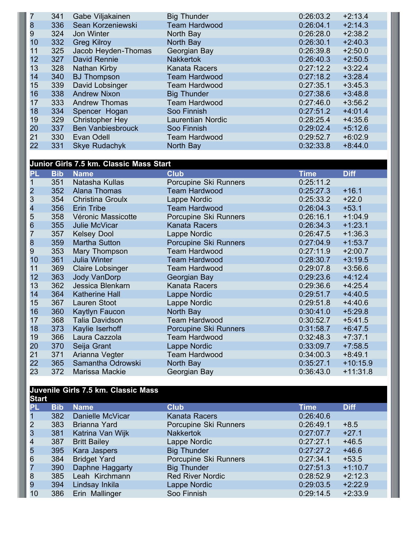|    | 341 | Gabe Viljakainen         | <b>Big Thunder</b>       | 0:26:03.2 | $+2:13.4$ |
|----|-----|--------------------------|--------------------------|-----------|-----------|
| 8  | 336 | Sean Korzeniewski        | <b>Team Hardwood</b>     | 0:26:04.1 | $+2:14.3$ |
| 9  | 324 | Jon Winter               | North Bay                | 0:26:28.0 | $+2:38.2$ |
| 10 | 332 | <b>Greg Kilroy</b>       | North Bay                | 0:26:30.1 | $+2:40.3$ |
| 11 | 325 | Jacob Heyden-Thomas      | Georgian Bay             | 0:26:39.8 | $+2:50.0$ |
| 12 | 327 | David Rennie             | <b>Nakkertok</b>         | 0:26:40.3 | $+2:50.5$ |
| 13 | 328 | Nathan Kirby             | <b>Kanata Racers</b>     | 0:27:12.2 | $+3:22.4$ |
| 14 | 340 | <b>BJ</b> Thompson       | <b>Team Hardwood</b>     | 0:27:18.2 | $+3:28.4$ |
| 15 | 339 | David Lobsinger          | <b>Team Hardwood</b>     | 0:27:35.1 | $+3:45.3$ |
| 16 | 338 | <b>Andrew Nixon</b>      | <b>Big Thunder</b>       | 0:27:38.6 | $+3:48.8$ |
| 17 | 333 | <b>Andrew Thomas</b>     | <b>Team Hardwood</b>     | 0:27:46.0 | $+3:56.2$ |
| 18 | 334 | Spencer Hogan            | Soo Finnish              | 0:27:51.2 | $+4:01.4$ |
| 19 | 329 | <b>Christopher Hey</b>   | <b>Laurentian Nordic</b> | 0:28:25.4 | $+4:35.6$ |
| 20 | 337 | <b>Ben Vanbiesbrouck</b> | Soo Finnish              | 0:29:02.4 | $+5:12.6$ |
| 21 | 330 | Evan Odell               | <b>Team Hardwood</b>     | 0:29:52.7 | $+6:02.9$ |
| 22 | 331 | <b>Skye Rudachyk</b>     | North Bay                | 0:32:33.8 | $+8:44.0$ |
|    |     |                          |                          |           |           |

## **Junior Girls 7.5 km. Classic Mass Start**

| PL.                     | <b>Bib</b> | <b>Name</b>             | <b>Club</b>           | <b>Time</b> | <b>Diff</b> |
|-------------------------|------------|-------------------------|-----------------------|-------------|-------------|
|                         | 351        | Natasha Kullas          | Porcupine Ski Runners | 0:25:11.2   |             |
|                         | 352        | Alana Thomas            | <b>Team Hardwood</b>  | 0:25:27.3   | $+16.1$     |
| $\frac{2}{3}$           | 354        | <b>Christina Groulx</b> | Lappe Nordic          | 0:25:33.2   | $+22.0$     |
| $\overline{\mathbf{4}}$ | 356        | <b>Erin Tribe</b>       | <b>Team Hardwood</b>  | 0:26:04.3   | $+53.1$     |
| 5                       | 358        | Véronic Massicotte      | Porcupine Ski Runners | 0:26:16.1   | $+1:04.9$   |
| $6\phantom{1}6$         | 355        | Julie McVicar           | Kanata Racers         | 0:26:34.3   | $+1:23.1$   |
| 7                       | 357        | <b>Kelsey Dool</b>      | Lappe Nordic          | 0:26:47.5   | $+1:36.3$   |
| $\boldsymbol{8}$        | 359        | Martha Sutton           | Porcupine Ski Runners | 0:27:04.9   | $+1:53.7$   |
| 9                       | 353        | Mary Thompson           | <b>Team Hardwood</b>  | 0:27:11.9   | $+2:00.7$   |
| 10                      | 361        | Julia Winter            | <b>Team Hardwood</b>  | 0:28:30.7   | $+3:19.5$   |
| 11                      | 369        | <b>Claire Lobsinger</b> | <b>Team Hardwood</b>  | 0:29:07.8   | $+3:56.6$   |
| 12                      | 363        | <b>Jody VanDorp</b>     | Georgian Bay          | 0:29:23.6   | $+4:12.4$   |
| 13                      | 362        | Jessica Blenkarn        | Kanata Racers         | 0:29:36.6   | $+4:25.4$   |
| 14                      | 364        | <b>Katherine Hall</b>   | Lappe Nordic          | 0:29:51.7   | $+4:40.5$   |
| 15                      | 367        | Lauren Stoot            | Lappe Nordic          | 0:29:51.8   | $+4:40.6$   |
| 16                      | 360        | Kaytlyn Faucon          | North Bay             | 0:30:41.0   | $+5:29.8$   |
| 17                      | 368        | Talia Davidson          | <b>Team Hardwood</b>  | 0:30:52.7   | $+5:41.5$   |
| 18                      | 373        | Kaylie Iserhoff         | Porcupine Ski Runners | 0:31:58.7   | $+6:47.5$   |
| 19                      | 366        | Laura Cazzola           | <b>Team Hardwood</b>  | 0:32:48.3   | $+7:37.1$   |
| 20                      | 370        | Seija Grant             | Lappe Nordic          | 0:33:09.7   | $+7:58.5$   |
| 21                      | 371        | Arianna Vegter          | <b>Team Hardwood</b>  | 0:34:00.3   | $+8:49.1$   |
| 22                      | 365        | Samantha Odrowski       | North Bay             | 0:35:27.1   | $+10:15.9$  |
| 23                      | 372        | Marissa Mackie          | Georgian Bay          | 0:36:43.0   | $+11:31.8$  |

## **Juvenile Girls 7.5 km. Classic Mass** Start<br>PL **PL Bib Name Club Time Diff** 1 382 Danielle McVicar<br>2 383 Brianna Yard<br>3 381 Katrina Van Wijk 2 383 Brianna Yard **Porcupine Ski Runners** 0:26:49.1 +8.5<br>281 Katrina Van Wijk **Nakkertok** 0:27:07.7 +27.1 3 381 Katrina Van Wijk<br>4 387 Britt Bailey<br>5 395 Kara Jaspers 387 Britt Bailey Lappe Nordic 0:27:27.1 +46.5 395 Kara Jaspers Big Thunder 0:27:27.2 +46.6 384 Bridget Yard Porcupine Ski Runners 0:27:34.1 +53.5 390 Daphne Haggarty Big Thunder 0:27:51.3 +1:10.7 385 Leah Kirchmann Red River Nordic 0:28:52.9 +2:12.3 394 Lindsay Inkila Lappe Nordic 0:29:03.5 +2:22.9 386 Erin Mallinger Soo Finnish 0:29:14.5 +2:33.9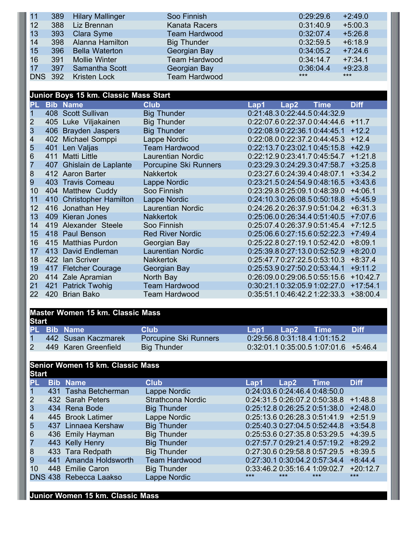| 11             | 389 | <b>Hilary Mallinger</b> | Soo Finnish          | 0:29:29.6 | $+2:49.0$ |
|----------------|-----|-------------------------|----------------------|-----------|-----------|
| 12             | 388 | Liz Brennan             | Kanata Racers        | 0:31:40.9 | $+5:00.3$ |
| 13             | 393 | Clara Syme              | <b>Team Hardwood</b> | 0:32:07.4 | $+5:26.8$ |
| 14             | 398 | Alanna Hamilton         | <b>Big Thunder</b>   | 0:32:59.5 | $+6:18.9$ |
| 15             | 396 | <b>Bella Waterton</b>   | Georgian Bay         | 0:34:05.2 | $+7:24.6$ |
| 16             | 391 | Mollie Winter           | <b>Team Hardwood</b> | 0:34:14.7 | $+7:34.1$ |
| 17             | 397 | Samantha Scott          | Georgian Bay         | 0:36:04.4 | $+9:23.8$ |
| <b>DNS 392</b> |     | <b>Kristen Lock</b>     | <b>Team Hardwood</b> | $***$     | $***$     |

| <b>Junior Boys 15 km. Classic Mass Start</b> |
|----------------------------------------------|
|----------------------------------------------|

| PL- |     | <b>Bib Name</b>          | <b>Club</b>              | Lap1 | Lap2                          | <b>Time</b> | <b>Diff</b> |
|-----|-----|--------------------------|--------------------------|------|-------------------------------|-------------|-------------|
|     |     | 408 Scott Sullivan       | <b>Big Thunder</b>       |      | 0.21:48.30:22:44.50:44:32.9   |             |             |
| 2   |     | 405 Luke Viljakainen     | <b>Big Thunder</b>       |      | 0.22:07.6 0.22:37.0 0.44:44.6 |             | $+11.7$     |
| 3   |     | 406 Brayden Jaspers      | <b>Big Thunder</b>       |      | 0.22.08.9 0.22.36.1 0.44:45.1 |             | $+12.2$     |
| 4   |     | 402 Michael Somppi       | Lappe Nordic             |      | 0.22:08.0 0.22:37.2 0.44:45.3 |             | $+12.4$     |
| 5   |     | 401 Len Valjas           | <b>Team Hardwood</b>     |      | 0.22:13.7 0.23.02.1 0.45:15.8 |             | $+42.9$     |
| 6   |     | 411 Matti Little         | <b>Laurentian Nordic</b> |      | 0:22:12.90:23:41.70:45:54.7   |             | $+1:21.8$   |
| 7   | 407 | Ghislain de Laplante     | Porcupine Ski Runners    |      | 0.23.29.3 0.24.29.3 0.47:58.7 |             | $+3:25.8$   |
| 8   |     | 412 Aaron Barter         | <b>Nakkertok</b>         |      | 0.23:27.6 0.24:39.4 0.48:07.1 |             | $+3:34.2$   |
| 9   |     | 403 Travis Comeau        | Lappe Nordic             |      | 0:23:21.5 0:24:54.9 0:48:16.5 |             | $+3:43.6$   |
| 10  |     | 404 Matthew Cuddy        | Soo Finnish              |      | 0.23:29.8 0.25:09.1 0.48:39.0 |             | $+4:06.1$   |
| 11  |     | 410 Christopher Hamilton | Lappe Nordic             |      | 0:24:10.3 0:26:08.5 0:50:18.8 |             | $+5:45.9$   |
| 12  |     | 416 Jonathan Hey         | <b>Laurentian Nordic</b> |      | 0.24.26.20.26.37.90.51.04.2   |             | $+6:31.3$   |
| 13  |     | 409 Kieran Jones         | <b>Nakkertok</b>         |      | 0.25.06.0 0.26.34.4 0.51.40.5 |             | $+7:07.6$   |
| 14  |     | 419 Alexander Steele     | Soo Finnish              |      | 0.25:07.4 0.26:37.9 0.51:45.4 |             | $+7:12.5$   |
| 15  |     | 418 Paul Benson          | <b>Red River Nordic</b>  |      | 0.25.06.6 0.27:15.6 0.52.22.3 |             | $+7:49.4$   |
| 16  |     | 415 Matthias Purdon      | Georgian Bay             |      | 0.25:22.8 0.27:19.1 0.52:42.0 |             | $+8:09.1$   |
| 17  |     | 413 David Endleman       | <b>Laurentian Nordic</b> |      | 0.25:39.8 0.27:13.0 0.52:52.9 |             | $+8:20.0$   |
| 18  |     | 422 Ian Scriver          | <b>Nakkertok</b>         |      | 0.25:47.7 0.27:22.5 0.53:10.3 |             | $+8:37.4$   |
| 19  |     | 417 Fletcher Courage     | Georgian Bay             |      | 0.25:53.9 0.27:50.2 0.53:44.1 |             | $+9:11.2$   |
| 20  |     | 414 Zale Apramian        | North Bay                |      | 0.26.09.0 0.29.06.5 0.55.15.6 |             | $+10:42.7$  |
| 21  |     | 421 Patrick Twohig       | <b>Team Hardwood</b>     |      | 0:30:21.10:32:05.91:02:27.0   |             | $+17:54.1$  |
| 22  |     | 420 Brian Bako           | <b>Team Hardwood</b>     |      | 0:35:51.10:46:42.21:22:33.3   |             | $+38:00.4$  |

## **Master Women 15 km. Classic Mass**

| <b>Start</b> |  |                      |                       |         |                               |                                       |             |
|--------------|--|----------------------|-----------------------|---------|-------------------------------|---------------------------------------|-------------|
|              |  | <b>PL Bib Name</b>   | <b>Club</b>           | $L$ an1 | ⊾Lan2 \                       | Time                                  | <b>Diff</b> |
|              |  | 442 Susan Kaczmarek  | Porcupine Ski Runners |         | 0.29:56.8 0.31:18.4 1.01:15.2 |                                       |             |
|              |  | 449 Karen Greenfield | Big Thunder           |         |                               | $0.32.01.10.35.00.51.07.01.6$ +5.46.4 |             |

## **Senior Women 15 km. Classic Mass Start**

| <b>PIPER</b> |                        |                          |       |       |                               |             |
|--------------|------------------------|--------------------------|-------|-------|-------------------------------|-------------|
| PL           | <b>Bib Name</b>        | <b>Club</b>              | Lap1  | Lap2  | Time                          | <b>Diff</b> |
|              | 431 Tasha Betcherman   | Lappe Nordic             |       |       | 0.24:03.6 0.24:46.4 0.48:50.0 |             |
| 2            | 432 Sarah Peters       | <b>Strathcona Nordic</b> |       |       | 0.24:31.5 0.26:07.2 0.50:38.8 | $+1:48.8$   |
| 3            | 434 Rena Bode          | <b>Big Thunder</b>       |       |       | 0.25:12.8 0.26:25.2 0.51:38.0 | $+2:48.0$   |
| 4            | 445 Brook Latimer      | Lappe Nordic             |       |       | 0.25:13.6 0.26:28.3 0.51:41.9 | $+2:51.9$   |
| 5            | 437 Linnaea Kershaw    | <b>Big Thunder</b>       |       |       | 0.25:40.3 0.27:04.5 0.52:44.8 | $+3:54.8$   |
| 6            | 436 Emily Hayman       | <b>Big Thunder</b>       |       |       | 0:25:53.6 0:27:35.8 0:53:29.5 | $+4:39.5$   |
|              | 443 Kelly Henry        | <b>Big Thunder</b>       |       |       | 0.27:57.7 0.29:21.4 0.57:19.2 | $+8:29.2$   |
| 8            | 433 Tara Redpath       | <b>Big Thunder</b>       |       |       | 0:27:30.6 0:29:58.8 0:57:29.5 | $+8:39.5$   |
| 9            | 441 Amanda Holdsworth  | <b>Team Hardwood</b>     |       |       | 0:27:30.1 0:30:04.2 0:57:34.4 | $+8:44.4$   |
| 10           | 448 Emilie Caron       | <b>Big Thunder</b>       |       |       | 0.33.46.2 0.35.16.4 1.09.02.7 | $+20:12.7$  |
|              | DNS 438 Rebecca Laakso | <b>Lappe Nordic</b>      | $***$ | $***$ | $***$                         | $***$       |

**Junior Women 15 km. Classic Mass**